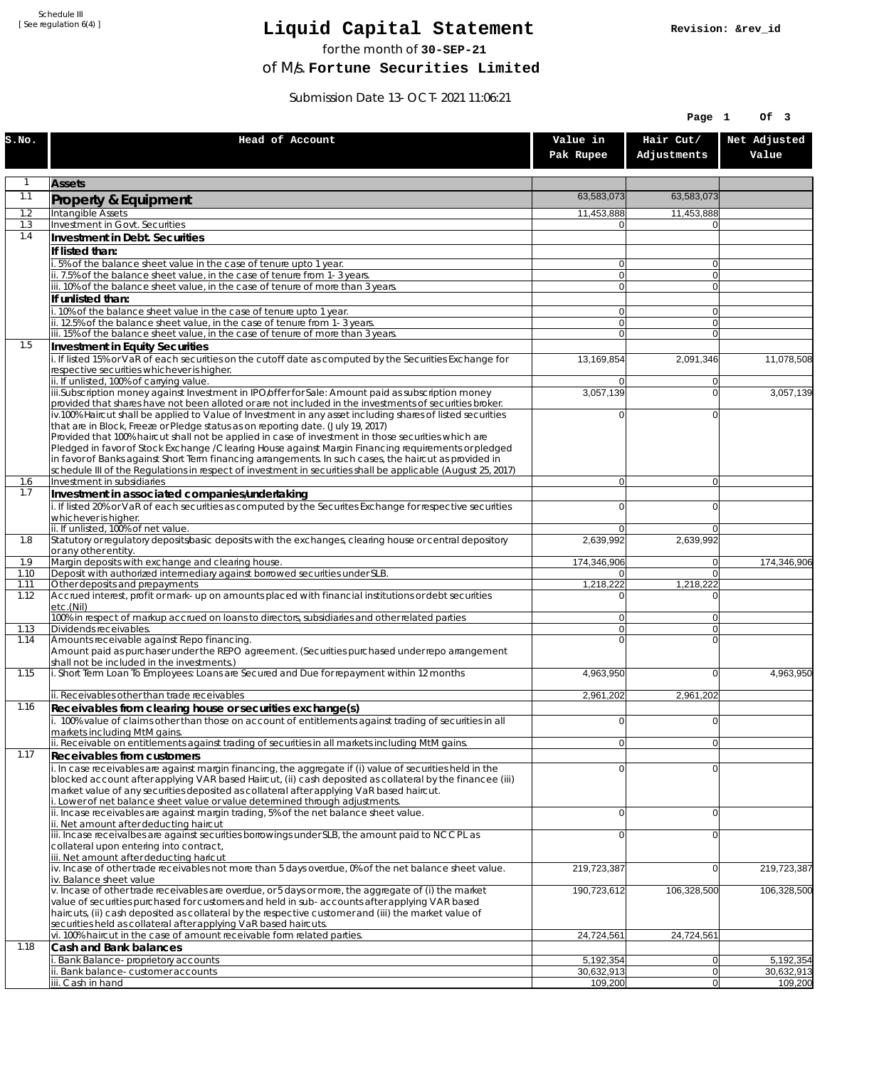Schedule III [ See regulation 6(4) ]

## **Liquid Capital Statement**

for the month of **30-SEP-21**

**Revision: &rev\_id**

of M/s. **Fortune Securities Limited**

Submission Date 13-OCT-2021 11:06:21

|              |                                                                                                                                                                                                                                                                                                                                                                                                                                                                                                                                                                                                                                         |                                  | Page 1                     | Of 3                  |
|--------------|-----------------------------------------------------------------------------------------------------------------------------------------------------------------------------------------------------------------------------------------------------------------------------------------------------------------------------------------------------------------------------------------------------------------------------------------------------------------------------------------------------------------------------------------------------------------------------------------------------------------------------------------|----------------------------------|----------------------------|-----------------------|
| S.NO.        | Head of Account                                                                                                                                                                                                                                                                                                                                                                                                                                                                                                                                                                                                                         | Value in<br>Pak Rupee            | Hair Cut/<br>Adjustments   | Net Adjusted<br>Value |
| $\mathbf{1}$ | <b>Assets</b>                                                                                                                                                                                                                                                                                                                                                                                                                                                                                                                                                                                                                           |                                  |                            |                       |
| 1.1          | Property & Equipment                                                                                                                                                                                                                                                                                                                                                                                                                                                                                                                                                                                                                    | 63,583,073                       | 63,583,073                 |                       |
| 1.2          | Intangible Assets                                                                                                                                                                                                                                                                                                                                                                                                                                                                                                                                                                                                                       | 11.453.888                       | 11,453,888                 |                       |
| 1.3          | Investment in Govt. Securities                                                                                                                                                                                                                                                                                                                                                                                                                                                                                                                                                                                                          | $\Omega$                         | $\Omega$                   |                       |
| 1.4          | Investment in Debt. Securities                                                                                                                                                                                                                                                                                                                                                                                                                                                                                                                                                                                                          |                                  |                            |                       |
|              | If listed than:<br>i. 5% of the balance sheet value in the case of tenure upto 1 year.                                                                                                                                                                                                                                                                                                                                                                                                                                                                                                                                                  | 0                                | $\overline{0}$             |                       |
|              | ii. 7.5% of the balance sheet value, in the case of tenure from 1-3 years.                                                                                                                                                                                                                                                                                                                                                                                                                                                                                                                                                              | 0                                | 0                          |                       |
|              | iii. 10% of the balance sheet value, in the case of tenure of more than 3 years.                                                                                                                                                                                                                                                                                                                                                                                                                                                                                                                                                        | $\overline{0}$                   | $\Omega$                   |                       |
|              | If unlisted than:<br>i. 10% of the balance sheet value in the case of tenure upto 1 year.                                                                                                                                                                                                                                                                                                                                                                                                                                                                                                                                               | $\overline{0}$                   | $\overline{0}$             |                       |
|              | ii. 12.5% of the balance sheet value, in the case of tenure from 1-3 years.                                                                                                                                                                                                                                                                                                                                                                                                                                                                                                                                                             | $\overline{0}$                   | $\Omega$                   |                       |
|              | iii. 15% of the balance sheet value, in the case of tenure of more than 3 years.                                                                                                                                                                                                                                                                                                                                                                                                                                                                                                                                                        | $\overline{0}$                   | $\overline{0}$             |                       |
| 1.5          | Investment in Equity Securities                                                                                                                                                                                                                                                                                                                                                                                                                                                                                                                                                                                                         |                                  |                            |                       |
|              | i. If listed 15% or VaR of each securities on the cutoff date as computed by the Securities Exchange for<br>respective securities whichever is higher.                                                                                                                                                                                                                                                                                                                                                                                                                                                                                  | 13,169,854                       | 2,091,346                  | 11,078,508            |
|              | ii. If unlisted, 100% of carrying value.                                                                                                                                                                                                                                                                                                                                                                                                                                                                                                                                                                                                | 0                                | 0                          |                       |
|              | iii.Subscription money against Investment in IPO/offer for Sale: Amount paid as subscription money<br>provided that shares have not been alloted or are not included in the investments of securities broker.                                                                                                                                                                                                                                                                                                                                                                                                                           | 3,057,139                        | $\Omega$                   | 3,057,139             |
|              | iv.100% Haircut shall be applied to Value of Investment in any asset including shares of listed securities<br>that are in Block, Freeze or Pledge status as on reporting date. (July 19, 2017)<br>Provided that 100% haircut shall not be applied in case of investment in those securities which are<br>Pledged in favor of Stock Exchange / Clearing House against Margin Financing requirements or pledged<br>in favor of Banks against Short Term financing arrangements. In such cases, the haircut as provided in<br>schedule III of the Regulations in respect of investment in securities shall be applicable (August 25, 2017) | $\Omega$                         | $\Omega$                   |                       |
| 1.6          | Investment in subsidiaries                                                                                                                                                                                                                                                                                                                                                                                                                                                                                                                                                                                                              | $\overline{0}$                   | $\overline{0}$             |                       |
| 1.7          | Investment in associated companies/undertaking                                                                                                                                                                                                                                                                                                                                                                                                                                                                                                                                                                                          |                                  |                            |                       |
|              | i. If listed 20% or VaR of each securities as computed by the Securites Exchange for respective securities<br>whichever is higher.                                                                                                                                                                                                                                                                                                                                                                                                                                                                                                      | $\Omega$                         | $\Omega$                   |                       |
|              | ii. If unlisted, 100% of net value.                                                                                                                                                                                                                                                                                                                                                                                                                                                                                                                                                                                                     | $\Omega$                         | $\Omega$                   |                       |
| 1.8          | Statutory or regulatory deposits/basic deposits with the exchanges, clearing house or central depository<br>or any other entity.                                                                                                                                                                                                                                                                                                                                                                                                                                                                                                        | 2,639,992                        | 2,639,992                  |                       |
| 1.9          | Margin deposits with exchange and clearing house.                                                                                                                                                                                                                                                                                                                                                                                                                                                                                                                                                                                       | 174,346,906                      | 0                          | 174,346,906           |
| 1.10         | Deposit with authorized intermediary against borrowed securities under SLB.                                                                                                                                                                                                                                                                                                                                                                                                                                                                                                                                                             | $\Omega$                         | $\Omega$                   |                       |
| 1.11<br>1.12 | Other deposits and prepayments<br>Accrued interest, profit or mark-up on amounts placed with financial institutions or debt securities                                                                                                                                                                                                                                                                                                                                                                                                                                                                                                  | 1,218,222<br>$\Omega$            | 1,218,222<br>$\mathbf{0}$  |                       |
|              | etc.(Nil)                                                                                                                                                                                                                                                                                                                                                                                                                                                                                                                                                                                                                               |                                  |                            |                       |
| 1.13         | 100% in respect of markup accrued on loans to directors, subsidiaries and other related parties<br>Dividends receivables.                                                                                                                                                                                                                                                                                                                                                                                                                                                                                                               | $\overline{0}$<br> 0             | $\Omega$<br>$\overline{0}$ |                       |
| 1.14         | Amounts receivable against Repo financing.                                                                                                                                                                                                                                                                                                                                                                                                                                                                                                                                                                                              | $\Omega$                         | $\Omega$                   |                       |
|              | Amount paid as purchaser under the REPO agreement. (Securities purchased under repo arrangement<br>shall not be included in the investments.)                                                                                                                                                                                                                                                                                                                                                                                                                                                                                           |                                  |                            |                       |
| 1.15         | i. Short Term Loan To Employees: Loans are Secured and Due for repayment within 12 months                                                                                                                                                                                                                                                                                                                                                                                                                                                                                                                                               | 4,963,950                        | $\Omega$                   | 4.963.950             |
|              | ii. Receivables other than trade receivables                                                                                                                                                                                                                                                                                                                                                                                                                                                                                                                                                                                            | 2,961,202                        | 2,961,202                  |                       |
| 1.16         | Receivables from clearing house or securities exchange(s)                                                                                                                                                                                                                                                                                                                                                                                                                                                                                                                                                                               |                                  |                            |                       |
|              | i. 100% value of claims other than those on account of entitlements against trading of securities in all<br>markets including MtM gains.                                                                                                                                                                                                                                                                                                                                                                                                                                                                                                | 0                                | 0                          |                       |
| 1.17         | ii. Receivable on entitlements against trading of securities in all markets including MtM gains.                                                                                                                                                                                                                                                                                                                                                                                                                                                                                                                                        | 0                                | 0                          |                       |
|              | Receivables from customers<br>i. In case receivables are against margin financing, the aggregate if (i) value of securities held in the<br>blocked account after applying VAR based Haircut, (ii) cash deposited as collateral by the financee (iii)<br>market value of any securities deposited as collateral after applying VaR based haircut.<br>i. Lower of net balance sheet value or value determined through adjustments.<br>ii. Incase receivables are against margin trading, 5% of the net balance sheet value.                                                                                                               | $\overline{0}$<br>$\overline{0}$ | $\Omega$<br>$\overline{0}$ |                       |
|              | ii. Net amount after deducting haircut                                                                                                                                                                                                                                                                                                                                                                                                                                                                                                                                                                                                  |                                  |                            |                       |
|              | iii. Incase receivalbes are against securities borrowings under SLB, the amount paid to NCCPL as<br>collateral upon entering into contract,<br>iii. Net amount after deducting haricut                                                                                                                                                                                                                                                                                                                                                                                                                                                  | $\overline{0}$                   | 0                          |                       |
|              | iv. Incase of other trade receivables not more than 5 days overdue, 0% of the net balance sheet value.<br>iv. Balance sheet value                                                                                                                                                                                                                                                                                                                                                                                                                                                                                                       | 219,723,387                      | $\Omega$                   | 219,723,387           |
|              | v. Incase of other trade receivables are overdue, or 5 days or more, the aggregate of (i) the market<br>value of securities purchased for customers and held in sub-accounts after applying VAR based<br>haircuts, (ii) cash deposited as collateral by the respective customer and (iii) the market value of<br>securities held as collateral after applying VaR based haircuts.                                                                                                                                                                                                                                                       | 190,723,612                      | 106,328,500                | 106,328,500           |
| 1.18         | vi. 100% haircut in the case of amount receivable form related parties.<br>Cash and Bank balances                                                                                                                                                                                                                                                                                                                                                                                                                                                                                                                                       | 24,724,561                       | 24,724,561                 |                       |
|              | . Bank Balance-proprietory accounts                                                                                                                                                                                                                                                                                                                                                                                                                                                                                                                                                                                                     | 5,192,354                        | 0                          | 5,192,354             |
|              | ii. Bank balance-customer accounts                                                                                                                                                                                                                                                                                                                                                                                                                                                                                                                                                                                                      | 30,632,913                       | 0                          | 30,632,913            |
|              | iii. Cash in hand                                                                                                                                                                                                                                                                                                                                                                                                                                                                                                                                                                                                                       | 109,200                          | $\Omega$                   | 109,200               |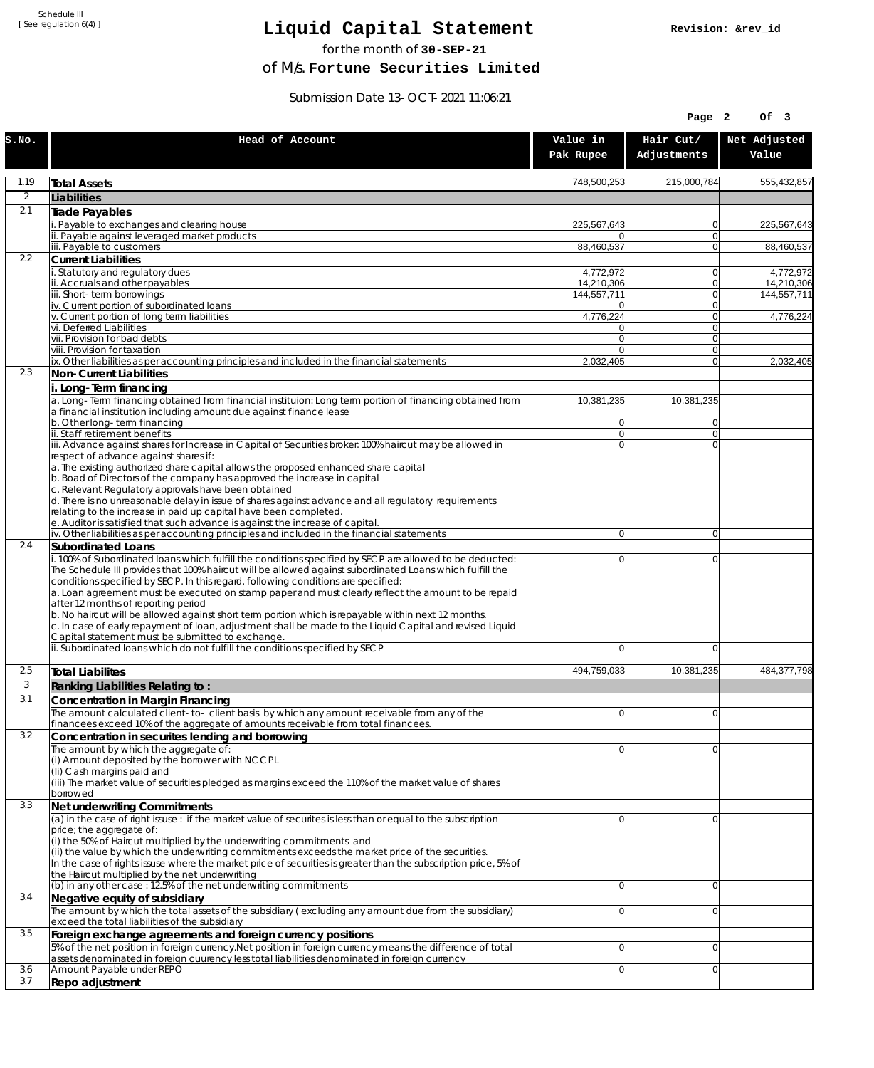Schedule III [ See regulation 6(4) ]

## **Liquid Capital Statement**

for the month of **30-SEP-21**

of M/s. **Fortune Securities Limited**

Submission Date 13-OCT-2021 11:06:21

|                |                                                                                                                                                                                                                                                                                                                                                                                                                                                                                                                                                                                                                                                                                                                                                                                                              |                             | Page 2                   | Of 3                    |
|----------------|--------------------------------------------------------------------------------------------------------------------------------------------------------------------------------------------------------------------------------------------------------------------------------------------------------------------------------------------------------------------------------------------------------------------------------------------------------------------------------------------------------------------------------------------------------------------------------------------------------------------------------------------------------------------------------------------------------------------------------------------------------------------------------------------------------------|-----------------------------|--------------------------|-------------------------|
| S.NO.          | Head of Account                                                                                                                                                                                                                                                                                                                                                                                                                                                                                                                                                                                                                                                                                                                                                                                              | Value in<br>Pak Rupee       | Hair Cut/<br>Adjustments | Net Adjusted<br>Value   |
| 1.19           | <b>Total Assets</b>                                                                                                                                                                                                                                                                                                                                                                                                                                                                                                                                                                                                                                                                                                                                                                                          | 748,500,253                 | 215,000,784              | 555,432,857             |
| $\overline{2}$ | Liabilities                                                                                                                                                                                                                                                                                                                                                                                                                                                                                                                                                                                                                                                                                                                                                                                                  |                             |                          |                         |
| 2.1            | <b>Trade Payables</b>                                                                                                                                                                                                                                                                                                                                                                                                                                                                                                                                                                                                                                                                                                                                                                                        |                             |                          |                         |
|                | Payable to exchanges and clearing house<br>ii. Payable against leveraged market products                                                                                                                                                                                                                                                                                                                                                                                                                                                                                                                                                                                                                                                                                                                     | 225,567,643<br>$\Omega$     | $\mathbf{0}$<br> 0       | 225,567,643             |
|                | iii. Payable to customers                                                                                                                                                                                                                                                                                                                                                                                                                                                                                                                                                                                                                                                                                                                                                                                    | 88,460,537                  | $\overline{0}$           | 88,460,537              |
| 2.2            | <b>Current Liabilities</b>                                                                                                                                                                                                                                                                                                                                                                                                                                                                                                                                                                                                                                                                                                                                                                                   |                             |                          |                         |
|                | . Statutory and regulatory dues<br>ii. Accruals and other payables                                                                                                                                                                                                                                                                                                                                                                                                                                                                                                                                                                                                                                                                                                                                           | 4,772,972<br>14,210,306     | 0 <br>$\overline{0}$     | 4,772,972<br>14,210,306 |
|                | iii. Short-term borrowings                                                                                                                                                                                                                                                                                                                                                                                                                                                                                                                                                                                                                                                                                                                                                                                   | 144,557,711                 | $\Omega$                 | 144,557,711             |
|                | iv. Current portion of subordinated loans                                                                                                                                                                                                                                                                                                                                                                                                                                                                                                                                                                                                                                                                                                                                                                    | $\Omega$                    | 0                        |                         |
|                | v. Current portion of long term liabilities<br>vi. Deferred Liabilities                                                                                                                                                                                                                                                                                                                                                                                                                                                                                                                                                                                                                                                                                                                                      | 4,776,224<br>$\overline{0}$ | 0 <br>$\Omega$           | 4,776,224               |
|                | vii. Provision for bad debts                                                                                                                                                                                                                                                                                                                                                                                                                                                                                                                                                                                                                                                                                                                                                                                 | $\Omega$                    | 0                        |                         |
|                | viii. Provision for taxation<br>ix. Other liabilities as per accounting principles and included in the financial statements                                                                                                                                                                                                                                                                                                                                                                                                                                                                                                                                                                                                                                                                                  | $\overline{0}$<br>2,032,405 | 0 <br>$\Omega$           | 2,032,405               |
| 2.3            | Non-Current Liabilities                                                                                                                                                                                                                                                                                                                                                                                                                                                                                                                                                                                                                                                                                                                                                                                      |                             |                          |                         |
|                | i. Long-Term financing                                                                                                                                                                                                                                                                                                                                                                                                                                                                                                                                                                                                                                                                                                                                                                                       |                             |                          |                         |
|                | a. Long-Term financing obtained from financial instituion: Long term portion of financing obtained from                                                                                                                                                                                                                                                                                                                                                                                                                                                                                                                                                                                                                                                                                                      | 10,381,235                  | 10,381,235               |                         |
|                | a financial institution including amount due against finance lease<br>b. Other long-term financing                                                                                                                                                                                                                                                                                                                                                                                                                                                                                                                                                                                                                                                                                                           | $\overline{0}$              | 0                        |                         |
|                | ii. Staff retirement benefits                                                                                                                                                                                                                                                                                                                                                                                                                                                                                                                                                                                                                                                                                                                                                                                | $\overline{0}$              | $\overline{0}$           |                         |
|                | iii. Advance against shares for Increase in Capital of Securities broker: 100% haircut may be allowed in                                                                                                                                                                                                                                                                                                                                                                                                                                                                                                                                                                                                                                                                                                     | $\Omega$                    | $\Omega$                 |                         |
|                | respect of advance against shares if:<br>a. The existing authorized share capital allows the proposed enhanced share capital                                                                                                                                                                                                                                                                                                                                                                                                                                                                                                                                                                                                                                                                                 |                             |                          |                         |
|                | b. Boad of Directors of the company has approved the increase in capital                                                                                                                                                                                                                                                                                                                                                                                                                                                                                                                                                                                                                                                                                                                                     |                             |                          |                         |
|                | c. Relevant Regulatory approvals have been obtained<br>d. There is no unreasonable delay in issue of shares against advance and all regulatory requirements                                                                                                                                                                                                                                                                                                                                                                                                                                                                                                                                                                                                                                                  |                             |                          |                         |
|                | relating to the increase in paid up capital have been completed.                                                                                                                                                                                                                                                                                                                                                                                                                                                                                                                                                                                                                                                                                                                                             |                             |                          |                         |
|                | e. Auditor is satisfied that such advance is against the increase of capital.                                                                                                                                                                                                                                                                                                                                                                                                                                                                                                                                                                                                                                                                                                                                |                             |                          |                         |
| 2.4            | iv. Other liabilities as per accounting principles and included in the financial statements<br><b>Subordinated Loans</b>                                                                                                                                                                                                                                                                                                                                                                                                                                                                                                                                                                                                                                                                                     | $\Omega$                    | 0                        |                         |
|                | i. 100% of Subordinated loans which fulfill the conditions specified by SECP are allowed to be deducted:<br>The Schedule III provides that 100% haircut will be allowed against subordinated Loans which fulfill the<br>conditions specified by SECP. In this regard, following conditions are specified:<br>a. Loan agreement must be executed on stamp paper and must clearly reflect the amount to be repaid<br>after 12 months of reporting period<br>b. No haircut will be allowed against short term portion which is repayable within next 12 months.<br>c. In case of early repayment of loan, adjustment shall be made to the Liquid Capital and revised Liquid<br>Capital statement must be submitted to exchange.<br>ii. Subordinated loans which do not fulfill the conditions specified by SECP | $\Omega$<br>$\Omega$        | $\Omega$<br>$\Omega$     |                         |
|                |                                                                                                                                                                                                                                                                                                                                                                                                                                                                                                                                                                                                                                                                                                                                                                                                              |                             |                          |                         |
| 2.5<br>3       | <b>Total Liabilites</b>                                                                                                                                                                                                                                                                                                                                                                                                                                                                                                                                                                                                                                                                                                                                                                                      | 494,759,033                 | 10,381,235               | 484,377,798             |
| 3.1            | Ranking Liabilities Relating to:<br>Concentration in Margin Financing                                                                                                                                                                                                                                                                                                                                                                                                                                                                                                                                                                                                                                                                                                                                        |                             |                          |                         |
|                | The amount calculated client-to- client basis by which any amount receivable from any of the                                                                                                                                                                                                                                                                                                                                                                                                                                                                                                                                                                                                                                                                                                                 | $\overline{0}$              | 0                        |                         |
|                | financees exceed 10% of the aggregate of amounts receivable from total financees.                                                                                                                                                                                                                                                                                                                                                                                                                                                                                                                                                                                                                                                                                                                            |                             |                          |                         |
| 3.2            | Concentration in securites lending and borrowing<br>The amount by which the aggregate of:                                                                                                                                                                                                                                                                                                                                                                                                                                                                                                                                                                                                                                                                                                                    | $\Omega$                    | $\Omega$                 |                         |
|                | (i) Amount deposited by the borrower with NCCPL                                                                                                                                                                                                                                                                                                                                                                                                                                                                                                                                                                                                                                                                                                                                                              |                             |                          |                         |
|                | (Ii) Cash margins paid and                                                                                                                                                                                                                                                                                                                                                                                                                                                                                                                                                                                                                                                                                                                                                                                   |                             |                          |                         |
|                | (iii) The market value of securities pledged as margins exceed the 110% of the market value of shares<br>borrowed                                                                                                                                                                                                                                                                                                                                                                                                                                                                                                                                                                                                                                                                                            |                             |                          |                         |
| 3.3            | Net underwriting Commitments                                                                                                                                                                                                                                                                                                                                                                                                                                                                                                                                                                                                                                                                                                                                                                                 |                             |                          |                         |
|                | $\alpha$ ) in the case of right issuse : if the market value of securites is less than or equal to the subscription                                                                                                                                                                                                                                                                                                                                                                                                                                                                                                                                                                                                                                                                                          | $\Omega$                    | $\Omega$                 |                         |
|                | price; the aggregate of:<br>(i) the 50% of Haircut multiplied by the underwriting commitments and                                                                                                                                                                                                                                                                                                                                                                                                                                                                                                                                                                                                                                                                                                            |                             |                          |                         |
|                | (ii) the value by which the underwriting commitments exceeds the market price of the securities.                                                                                                                                                                                                                                                                                                                                                                                                                                                                                                                                                                                                                                                                                                             |                             |                          |                         |
|                | In the case of rights issuse where the market price of securities is greater than the subscription price, 5% of<br>the Haircut multiplied by the net underwriting                                                                                                                                                                                                                                                                                                                                                                                                                                                                                                                                                                                                                                            |                             |                          |                         |
|                | $(b)$ in any other case: 12.5% of the net underwriting commitments                                                                                                                                                                                                                                                                                                                                                                                                                                                                                                                                                                                                                                                                                                                                           | $\overline{0}$              | $\overline{0}$           |                         |
| 3.4            | Negative equity of subsidiary                                                                                                                                                                                                                                                                                                                                                                                                                                                                                                                                                                                                                                                                                                                                                                                |                             |                          |                         |
|                | The amount by which the total assets of the subsidiary (excluding any amount due from the subsidiary)                                                                                                                                                                                                                                                                                                                                                                                                                                                                                                                                                                                                                                                                                                        | $\Omega$                    | $\Omega$                 |                         |
| 3.5            | exceed the total liabilities of the subsidiary<br>Foreign exchange agreements and foreign currency positions                                                                                                                                                                                                                                                                                                                                                                                                                                                                                                                                                                                                                                                                                                 |                             |                          |                         |
|                | 5% of the net position in foreign currency. Net position in foreign currency means the difference of total                                                                                                                                                                                                                                                                                                                                                                                                                                                                                                                                                                                                                                                                                                   | $\overline{0}$              | $\overline{0}$           |                         |
|                | assets denominated in foreign cuurency less total liabilities denominated in foreign currency                                                                                                                                                                                                                                                                                                                                                                                                                                                                                                                                                                                                                                                                                                                |                             |                          |                         |
| 3.6<br>3.7     | Amount Payable under REPO<br>Repo adjustment                                                                                                                                                                                                                                                                                                                                                                                                                                                                                                                                                                                                                                                                                                                                                                 | $\overline{0}$              | $\overline{0}$           |                         |
|                |                                                                                                                                                                                                                                                                                                                                                                                                                                                                                                                                                                                                                                                                                                                                                                                                              |                             |                          |                         |